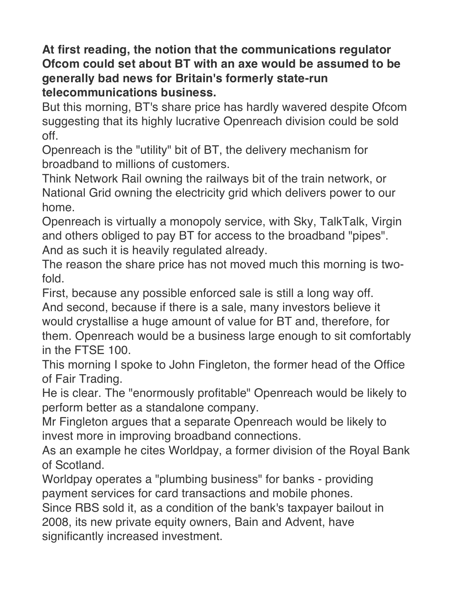**At first reading, the notion that the communications regulator Ofcom could set about BT with an axe would be assumed to be generally bad news for Britain's formerly state-run telecommunications business.**

But this morning, BT's share price has hardly wavered despite Ofcom suggesting that its highly lucrative Openreach division could be sold off.

Openreach is the "utility" bit of BT, the delivery mechanism for broadband to millions of customers.

Think Network Rail owning the railways bit of the train network, or National Grid owning the electricity grid which delivers power to our home.

Openreach is virtually a monopoly service, with Sky, TalkTalk, Virgin and others obliged to pay BT for access to the broadband "pipes". And as such it is heavily regulated already.

The reason the share price has not moved much this morning is twofold.

First, because any possible enforced sale is still a long way off. And second, because if there is a sale, many investors believe it would crystallise a huge amount of value for BT and, therefore, for them. Openreach would be a business large enough to sit comfortably in the FTSE 100.

This morning I spoke to John Fingleton, the former head of the Office of Fair Trading.

He is clear. The "enormously profitable" Openreach would be likely to perform better as a standalone company.

Mr Fingleton argues that a separate Openreach would be likely to invest more in improving broadband connections.

As an example he cites Worldpay, a former division of the Royal Bank of Scotland.

Worldpay operates a "plumbing business" for banks - providing payment services for card transactions and mobile phones.

Since RBS sold it, as a condition of the bank's taxpayer bailout in 2008, its new private equity owners, Bain and Advent, have significantly increased investment.